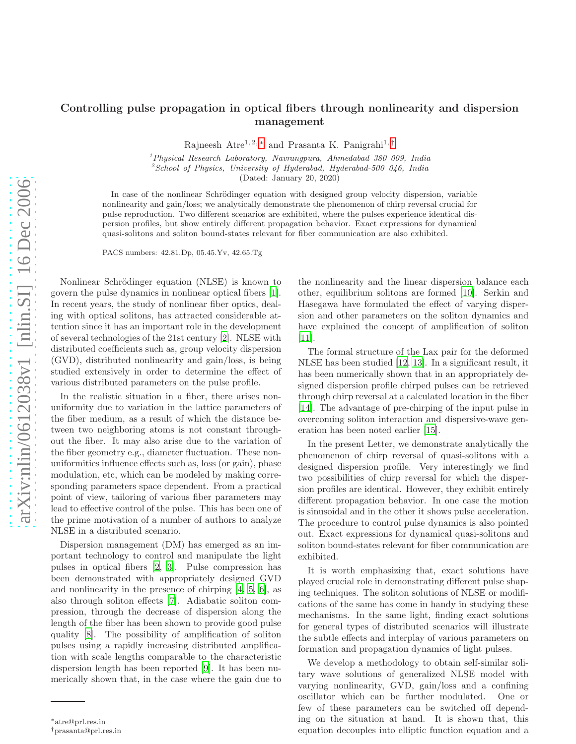## Controlling pulse propagation in optical fibers through nonlinearity and dispersion management

Rajneesh Atre<sup>1, 2, \*</sup> and Prasanta K. Panigrahi<sup>1, [†](#page-0-1)</sup>

 $1$ Physical Research Laboratory, Navrangpura, Ahmedabad 380 009, India  $\degree$ School of Physics, University of Hyderabad, Hyderabad-500 046, India

(Dated: January 20, 2020)

In case of the nonlinear Schrödinger equation with designed group velocity dispersion, variable nonlinearity and gain/loss; we analytically demonstrate the phenomenon of chirp reversal crucial for pulse reproduction. Two different scenarios are exhibited, where the pulses experience identical dispersion profiles, but show entirely different propagation behavior. Exact expressions for dynamical quasi-solitons and soliton bound-states relevant for fiber communication are also exhibited.

PACS numbers: 42.81.Dp, 05.45.Yv, 42.65.Tg

Nonlinear Schrödinger equation (NLSE) is known to govern the pulse dynamics in nonlinear optical fibers [\[1\]](#page-3-0). In recent years, the study of nonlinear fiber optics, dealing with optical solitons, has attracted considerable attention since it has an important role in the development of several technologies of the 21st century [\[2\]](#page-3-1). NLSE with distributed coefficients such as, group velocity dispersion (GVD), distributed nonlinearity and gain/loss, is being studied extensively in order to determine the effect of various distributed parameters on the pulse profile.

In the realistic situation in a fiber, there arises nonuniformity due to variation in the lattice parameters of the fiber medium, as a result of which the distance between two neighboring atoms is not constant throughout the fiber. It may also arise due to the variation of the fiber geometry e.g., diameter fluctuation. These nonuniformities influence effects such as, loss (or gain), phase modulation, etc, which can be modeled by making corresponding parameters space dependent. From a practical point of view, tailoring of various fiber parameters may lead to effective control of the pulse. This has been one of the prime motivation of a number of authors to analyze NLSE in a distributed scenario.

Dispersion management (DM) has emerged as an important technology to control and manipulate the light pulses in optical fibers [\[2,](#page-3-1) [3\]](#page-3-2). Pulse compression has been demonstrated with appropriately designed GVD and nonlinearity in the presence of chirping [\[4,](#page-3-3) [5](#page-3-4), [6\]](#page-3-5), as also through soliton effects [\[7\]](#page-3-6). Adiabatic soliton compression, through the decrease of dispersion along the length of the fiber has been shown to provide good pulse quality [\[8\]](#page-3-7). The possibility of amplification of soliton pulses using a rapidly increasing distributed amplification with scale lengths comparable to the characteristic dispersion length has been reported [\[9\]](#page-3-8). It has been numerically shown that, in the case where the gain due to

the nonlinearity and the linear dispersion balance each other, equilibrium solitons are formed [\[10](#page-3-9)]. Serkin and Hasegawa have formulated the effect of varying dispersion and other parameters on the soliton dynamics and have explained the concept of amplification of soliton [\[11\]](#page-3-10).

The formal structure of the Lax pair for the deformed NLSE has been studied [\[12](#page-3-11), [13\]](#page-3-12). In a significant result, it has been numerically shown that in an appropriately designed dispersion profile chirped pulses can be retrieved through chirp reversal at a calculated location in the fiber [\[14\]](#page-3-13). The advantage of pre-chirping of the input pulse in overcoming soliton interaction and dispersive-wave generation has been noted earlier [\[15\]](#page-3-14).

In the present Letter, we demonstrate analytically the phenomenon of chirp reversal of quasi-solitons with a designed dispersion profile. Very interestingly we find two possibilities of chirp reversal for which the dispersion profiles are identical. However, they exhibit entirely different propagation behavior. In one case the motion is sinusoidal and in the other it shows pulse acceleration. The procedure to control pulse dynamics is also pointed out. Exact expressions for dynamical quasi-solitons and soliton bound-states relevant for fiber communication are exhibited.

It is worth emphasizing that, exact solutions have played crucial role in demonstrating different pulse shaping techniques. The soliton solutions of NLSE or modifications of the same has come in handy in studying these mechanisms. In the same light, finding exact solutions for general types of distributed scenarios will illustrate the subtle effects and interplay of various parameters on formation and propagation dynamics of light pulses.

We develop a methodology to obtain self-similar solitary wave solutions of generalized NLSE model with varying nonlinearity, GVD, gain/loss and a confining oscillator which can be further modulated. One or few of these parameters can be switched off depending on the situation at hand. It is shown that, this equation decouples into elliptic function equation and a

<span id="page-0-0"></span><sup>∗</sup>atre@prl.res.in

<span id="page-0-1"></span><sup>†</sup>prasanta@prl.res.in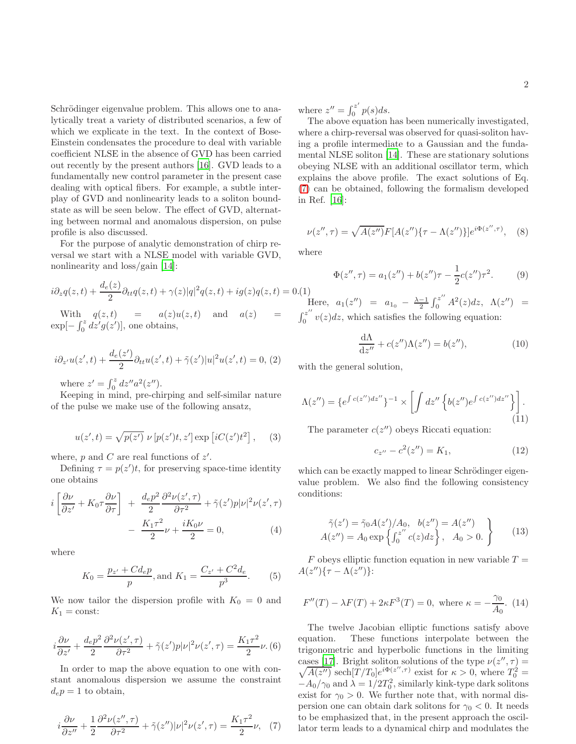Schrödinger eigenvalue problem. This allows one to analytically treat a variety of distributed scenarios, a few of which we explicate in the text. In the context of Bose-Einstein condensates the procedure to deal with variable coefficient NLSE in the absence of GVD has been carried out recently by the present authors [\[16\]](#page-3-15). GVD leads to a fundamentally new control parameter in the present case dealing with optical fibers. For example, a subtle interplay of GVD and nonlinearity leads to a soliton boundstate as will be seen below. The effect of GVD, alternating between normal and anomalous dispersion, on pulse profile is also discussed.

For the purpose of analytic demonstration of chirp reversal we start with a NLSE model with variable GVD, nonlinearity and loss/gain [\[14\]](#page-3-13):

<span id="page-1-2"></span>
$$
i\partial_z q(z,t) + \frac{d_e(z)}{2} \partial_{tt} q(z,t) + \gamma(z)|q|^2 q(z,t) + ig(z)q(z,t) = 0. (1)
$$

With  $q(z, t)$  =  $a(z)u(z, t)$  and  $a(z)$  $\exp[-\int_0^z dz'g(z')],$  one obtains,

$$
i\partial_{z'}u(z',t) + \frac{d_e(z')}{2}\partial_{tt}u(z',t) + \tilde{\gamma}(z')|u|^2u(z',t) = 0, (2)
$$

where  $z' = \int_0^z dz'' a^2(z'')$ .

Keeping in mind, pre-chirping and self-similar nature of the pulse we make use of the following ansatz,

$$
u(z',t) = \sqrt{p(z')} \nu [p(z')t, z'] \exp [iC(z')t^2], \quad (3)
$$

where,  $p$  and  $C$  are real functions of  $z'$ .

Defining  $\tau = p(z')t$ , for preserving space-time identity one obtains

$$
i\left[\frac{\partial \nu}{\partial z'} + K_0 \tau \frac{\partial \nu}{\partial \tau}\right] + \frac{d_e p^2}{2} \frac{\partial^2 \nu(z', \tau)}{\partial \tau^2} + \tilde{\gamma}(z')p|\nu|^2 \nu(z', \tau) - \frac{K_1 \tau^2}{2} \nu + \frac{iK_0 \nu}{2} = 0,
$$
 (4)

where

<span id="page-1-1"></span>
$$
K_0 = \frac{p_{z'} + Cd_e p}{p}, \text{and } K_1 = \frac{C_{z'} + C^2 d_e}{p^3}.
$$
 (5)

We now tailor the dispersion profile with  $K_0 = 0$  and  $K_1 = \text{const.}$ 

$$
i\frac{\partial \nu}{\partial z'} + \frac{d_e p^2}{2} \frac{\partial^2 \nu(z', \tau)}{\partial \tau^2} + \tilde{\gamma}(z')p |\nu|^2 \nu(z', \tau) = \frac{K_1 \tau^2}{2} \nu. (6)
$$

In order to map the above equation to one with constant anomalous dispersion we assume the constraint  $d_e p = 1$  to obtain,

<span id="page-1-0"></span>
$$
i\frac{\partial \nu}{\partial z''} + \frac{1}{2} \frac{\partial^2 \nu(z'', \tau)}{\partial \tau^2} + \tilde{\gamma}(z'')|\nu|^2 \nu(z', \tau) = \frac{K_1 \tau^2}{2} \nu, \tag{7}
$$

where  $z'' = \int_0^{z'}$  $\int_0^z p(s)ds.$ 

The above equation has been numerically investigated, where a chirp-reversal was observed for quasi-soliton having a profile intermediate to a Gaussian and the fundamental NLSE soliton [\[14\]](#page-3-13). These are stationary solutions obeying NLSE with an additional oscillator term, which explains the above profile. The exact solutions of Eq. [\(7\)](#page-1-0) can be obtained, following the formalism developed in Ref. [\[16](#page-3-15)]:

 $\nu(z'',\tau) = \sqrt{A(z'')}F[A(z'')\{\tau - \Lambda(z'')\}]e^{i\Phi(z'',\tau)},$  (8)

where

$$
\Phi(z'', \tau) = a_1(z'') + b(z'')\tau - \frac{1}{2}c(z'')\tau^2.
$$
 (9)

Here,  $a_1(z'') = a_{1_0} - \frac{\lambda - 1}{2} \int_0^{z''} A^2(z) dz$ ,  $\Lambda(z'') =$  $\int_0^{z''}$  $\int_0^z v(z) dz$ , which satisfies the following equation:

$$
\frac{\mathrm{d}\Lambda}{\mathrm{d}z''} + c(z'')\Lambda(z'') = b(z''),\tag{10}
$$

with the general solution,

<span id="page-1-3"></span>
$$
\Lambda(z'') = \{e^{\int c(z'')dz''}\}^{-1} \times \left[\int dz'' \left\{b(z'')e^{\int c(z'')dz''}\right\}\right].
$$
\n(11)

The parameter  $c(z'')$  obeys Riccati equation:

<span id="page-1-4"></span>
$$
c_{z''} - c^2(z'') = K_1,\tag{12}
$$

which can be exactly mapped to linear Schrödinger eigenvalue problem. We also find the following consistency conditions:

<span id="page-1-5"></span>
$$
\tilde{\gamma}(z') = \tilde{\gamma}_0 A(z') / A_0, \quad b(z'') = A(z'')
$$
  
 
$$
A(z'') = A_0 \exp\left\{\int_0^{z''} c(z) dz\right\}, \quad A_0 > 0.
$$
 (13)

F obeys elliptic function equation in new variable  $T =$  $A(z'')\{\tau-\Lambda(z'')\}$ :

<span id="page-1-6"></span>
$$
F''(T) - \lambda F(T) + 2\kappa F^{3}(T) = 0, \text{ where } \kappa = -\frac{\gamma_{0}}{A_{0}}. (14)
$$

The twelve Jacobian elliptic functions satisfy above equation. These functions interpolate between the trigonometric and hyperbolic functions in the limiting cases [\[17\]](#page-3-16). Bright soliton solutions of the type  $\nu(z)$  $\sqrt{}$  $,\tau)=$  $\overline{A(z'')}$  sech $[\overline{T}/T_0]e^{i\Phi(z'',\tau)}$  exist for  $\kappa > 0$ , where  $T_0^2 =$  $-A_0/\gamma_0$  and  $\lambda = 1/2T_0^2$ , similarly kink-type dark solitons exist for  $\gamma_0 > 0$ . We further note that, with normal dispersion one can obtain dark solitons for  $\gamma_0 < 0$ . It needs to be emphasized that, in the present approach the oscillator term leads to a dynamical chirp and modulates the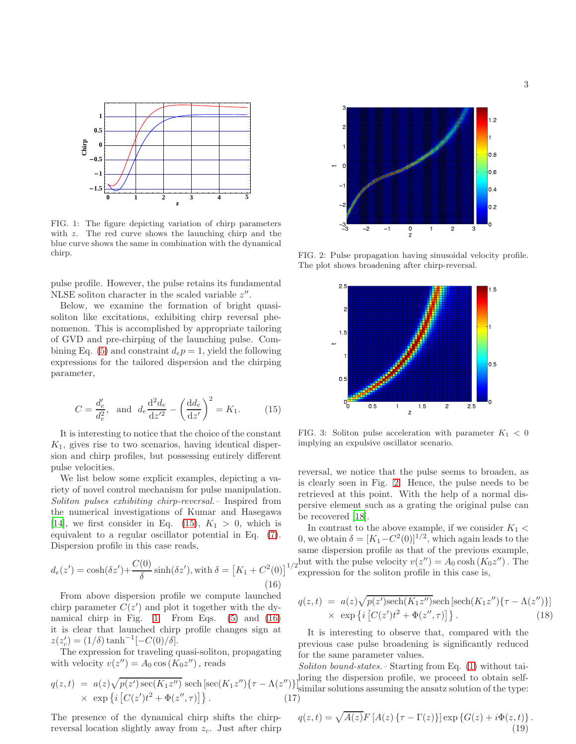

<span id="page-2-1"></span>FIG. 1: The figure depicting variation of chirp parameters with z. The red curve shows the launching chirp and the blue curve shows the same in combination with the dynamical chirp.

pulse profile. However, the pulse retains its fundamental NLSE soliton character in the scaled variable  $z''$ .

Below, we examine the formation of bright quasisoliton like excitations, exhibiting chirp reversal phenomenon. This is accomplished by appropriate tailoring of GVD and pre-chirping of the launching pulse. Com-bining Eq. [\(5\)](#page-1-1) and constraint  $d_e p = 1$ , yield the following expressions for the tailored dispersion and the chirping parameter,

<span id="page-2-0"></span>
$$
C = \frac{d'_e}{d_e^2}, \text{ and } d_e \frac{d^2 d_e}{dz'^2} - \left(\frac{dd_e}{dz'}\right)^2 = K_1.
$$
 (15)

It is interesting to notice that the choice of the constant  $K_1$ , gives rise to two scenarios, having identical dispersion and chirp profiles, but possessing entirely different pulse velocities.

We list below some explicit examples, depicting a variety of novel control mechanism for pulse manipulation. Soliton pulses exhibiting chirp-reversal.– Inspired from the numerical investigations of Kumar and Hasegawa [\[14\]](#page-3-13), we first consider in Eq. [\(15\)](#page-2-0),  $K_1 > 0$ , which is equivalent to a regular oscillator potential in Eq. [\(7\)](#page-1-0). Dispersion profile in this case reads,

<span id="page-2-2"></span>
$$
d_e(z') = \cosh(\delta z') + \frac{C(0)}{\delta} \sinh(\delta z'), \text{ with } \delta = [K_1 + C^2(0)]
$$
\n(16)

From above dispersion profile we compute launched chirp parameter  $C(z')$  and plot it together with the dynamical chirp in Fig. [1.](#page-2-1) From Eqs. [\(5\)](#page-1-1) and [\(16\)](#page-2-2) it is clear that launched chirp profile changes sign at  $z(z'_c) = (1/\delta) \tanh^{-1}[-C(0)/\delta].$ 

The expression for traveling quasi-soliton, propagating with velocity  $v(z'') = A_0 \cos(K_0 z'')$ , reads

$$
q(z,t) = a(z)\sqrt{p(z')\sec(K_1z'')} \operatorname{sech}\left[\sec(K_1z'')\{\tau - \Lambda(z'')\}\right]_z^1
$$
  
× 
$$
\exp\left\{i\left[C(z')t^2 + \Phi(z'',\tau)\right]\right\}.
$$
 (17)

The presence of the dynamical chirp shifts the chirpreversal location slightly away from  $z_c$ . Just after chirp



FIG. 2: Pulse propagation having sinusoidal velocity profile. The plot shows broadening after chirp-reversal.

<span id="page-2-3"></span>

FIG. 3: Soliton pulse acceleration with parameter  $K_1 < 0$ implying an expulsive oscillator scenario.

reversal, we notice that the pulse seems to broaden, as is clearly seen in Fig. [2.](#page-2-3) Hence, the pulse needs to be retrieved at this point. With the help of a normal dispersive element such as a grating the original pulse can be recovered [\[18](#page-3-17)].

(0)]<sup>1/2</sup> expression for the soliton profile in this case is. . expression for the soliton profile in this case is, In contrast to the above example, if we consider  $K_1$  < 0, we obtain  $\delta = [K_1 - C^2(0)]^{1/2}$ , which again leads to the same dispersion profile as that of the previous example,

$$
q(z,t) = a(z)\sqrt{p(z')\mathrm{sech}(K_1z'')} \mathrm{sech}\left[\mathrm{sech}(K_1z'')\{\tau - \Lambda(z'')\}\right] \times \exp\left\{i\left[C(z')t^2 + \Phi(z'',\tau)\right]\right\}.
$$
 (18)

It is interesting to observe that, compared with the previous case pulse broadening is significantly reduced for the same parameter values.

Soliton bound-states. - Starting from Eq. [\(1\)](#page-1-2) without tailoring the dispersion profile, we proceed to obtain self-<sup>-</sup> similar solutions assuming the ansatz solution of the type:<br>
()

<span id="page-2-4"></span>
$$
q(z,t) = \sqrt{A(z)}F\left[A(z)\left\{\tau - \Gamma(z)\right\}\right]\exp\left\{G(z) + i\Phi(z,t)\right\}.
$$
\n(19)